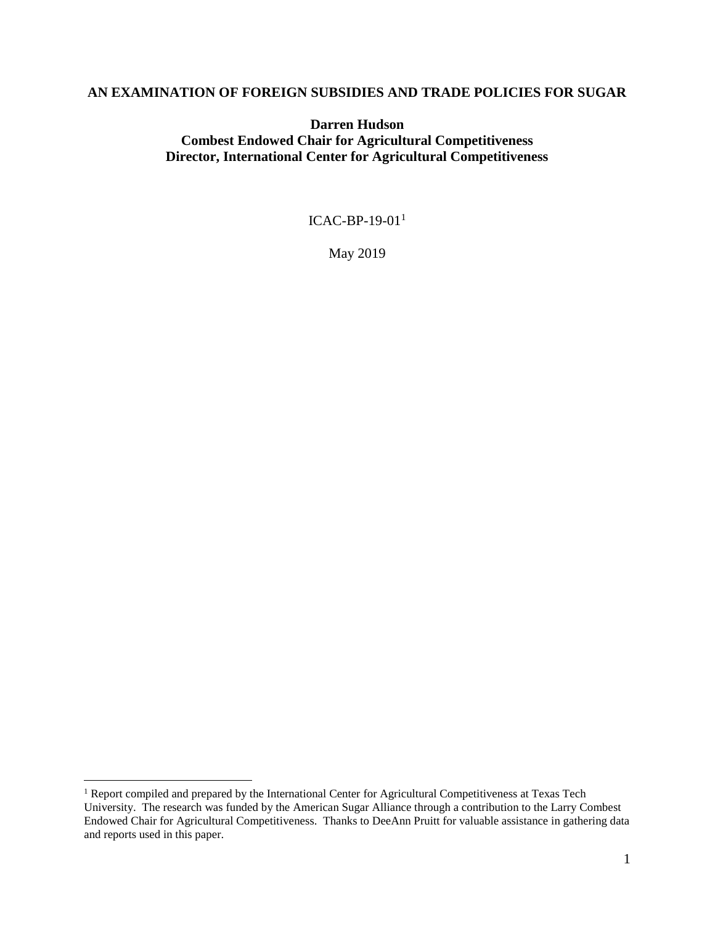#### **AN EXAMINATION OF FOREIGN SUBSIDIES AND TRADE POLICIES FOR SUGAR**

**Darren Hudson Combest Endowed Chair for Agricultural Competitiveness Director, International Center for Agricultural Competitiveness**

ICAC-BP-19-01 $<sup>1</sup>$ </sup>

May 2019

<sup>&</sup>lt;sup>1</sup> Report compiled and prepared by the International Center for Agricultural Competitiveness at Texas Tech University. The research was funded by the American Sugar Alliance through a contribution to the Larry Combest Endowed Chair for Agricultural Competitiveness. Thanks to DeeAnn Pruitt for valuable assistance in gathering data and reports used in this paper.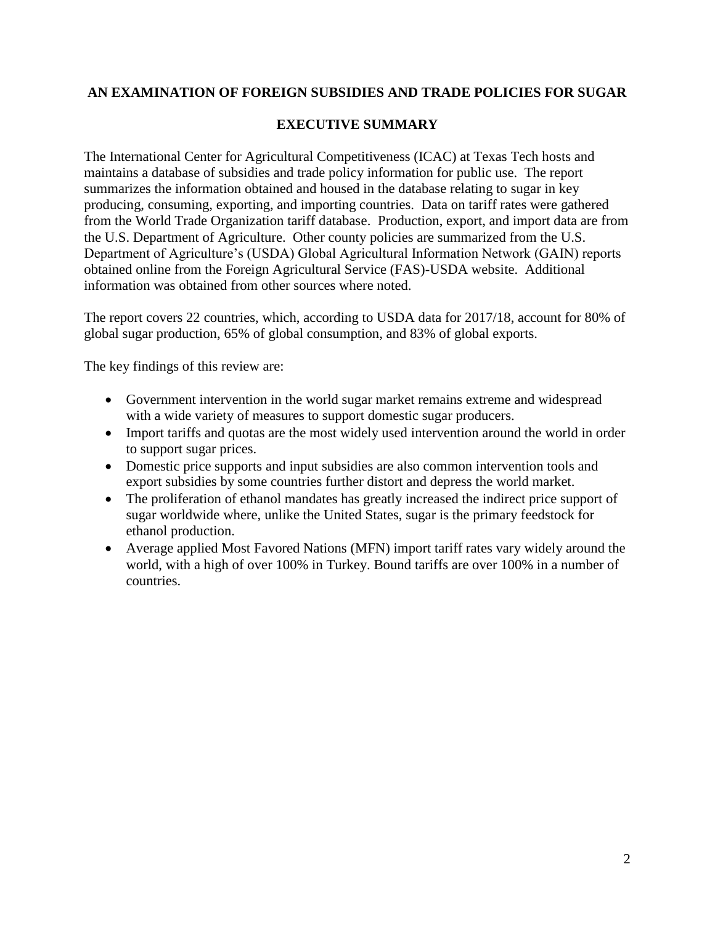# **AN EXAMINATION OF FOREIGN SUBSIDIES AND TRADE POLICIES FOR SUGAR**

### **EXECUTIVE SUMMARY**

The International Center for Agricultural Competitiveness (ICAC) at Texas Tech hosts and maintains a database of subsidies and trade policy information for public use. The report summarizes the information obtained and housed in the database relating to sugar in key producing, consuming, exporting, and importing countries. Data on tariff rates were gathered from the World Trade Organization tariff database. Production, export, and import data are from the U.S. Department of Agriculture. Other county policies are summarized from the U.S. Department of Agriculture's (USDA) Global Agricultural Information Network (GAIN) reports obtained online from the Foreign Agricultural Service (FAS)-USDA website. Additional information was obtained from other sources where noted.

The report covers 22 countries, which, according to USDA data for 2017/18, account for 80% of global sugar production, 65% of global consumption, and 83% of global exports.

The key findings of this review are:

- Government intervention in the world sugar market remains extreme and widespread with a wide variety of measures to support domestic sugar producers.
- Import tariffs and quotas are the most widely used intervention around the world in order to support sugar prices.
- Domestic price supports and input subsidies are also common intervention tools and export subsidies by some countries further distort and depress the world market.
- The proliferation of ethanol mandates has greatly increased the indirect price support of sugar worldwide where, unlike the United States, sugar is the primary feedstock for ethanol production.
- Average applied Most Favored Nations (MFN) import tariff rates vary widely around the world, with a high of over 100% in Turkey. Bound tariffs are over 100% in a number of countries.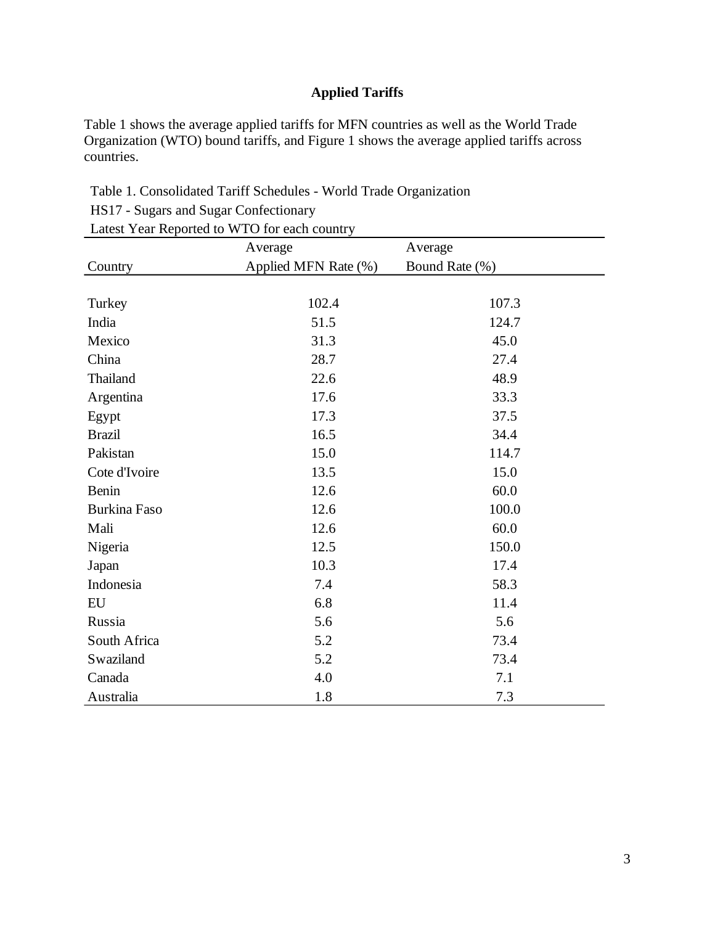# **Applied Tariffs**

Table 1 shows the average applied tariffs for MFN countries as well as the World Trade Organization (WTO) bound tariffs, and Figure 1 shows the average applied tariffs across countries.

| Table 1. Consolidated Tariff Schedules - World Trade Organization |  |
|-------------------------------------------------------------------|--|
|-------------------------------------------------------------------|--|

HS17 - Sugars and Sugar Confectionary

Latest Year Reported to WTO for each country

|                     | Average              | Average        |  |  |  |
|---------------------|----------------------|----------------|--|--|--|
| Country             | Applied MFN Rate (%) | Bound Rate (%) |  |  |  |
|                     |                      |                |  |  |  |
| Turkey              | 102.4                | 107.3          |  |  |  |
| India               | 51.5                 | 124.7          |  |  |  |
| Mexico              | 31.3                 | 45.0           |  |  |  |
| China               | 28.7                 | 27.4           |  |  |  |
| Thailand            | 22.6                 | 48.9           |  |  |  |
| Argentina           | 17.6                 | 33.3           |  |  |  |
| Egypt               | 17.3                 | 37.5           |  |  |  |
| <b>Brazil</b>       | 16.5                 | 34.4           |  |  |  |
| Pakistan            | 15.0                 | 114.7          |  |  |  |
| Cote d'Ivoire       | 13.5                 | 15.0           |  |  |  |
| Benin               | 12.6                 | 60.0           |  |  |  |
| <b>Burkina Faso</b> | 12.6                 | 100.0          |  |  |  |
| Mali                | 12.6                 | 60.0           |  |  |  |
| Nigeria             | 12.5                 | 150.0          |  |  |  |
| Japan               | 10.3                 | 17.4           |  |  |  |
| Indonesia           | 7.4                  | 58.3           |  |  |  |
| EU                  | 6.8                  | 11.4           |  |  |  |
| Russia              | 5.6                  | 5.6            |  |  |  |
| South Africa        | 5.2                  | 73.4           |  |  |  |
| Swaziland           | 5.2                  | 73.4           |  |  |  |
| Canada              | 4.0                  | 7.1            |  |  |  |
| Australia           | 1.8                  | 7.3            |  |  |  |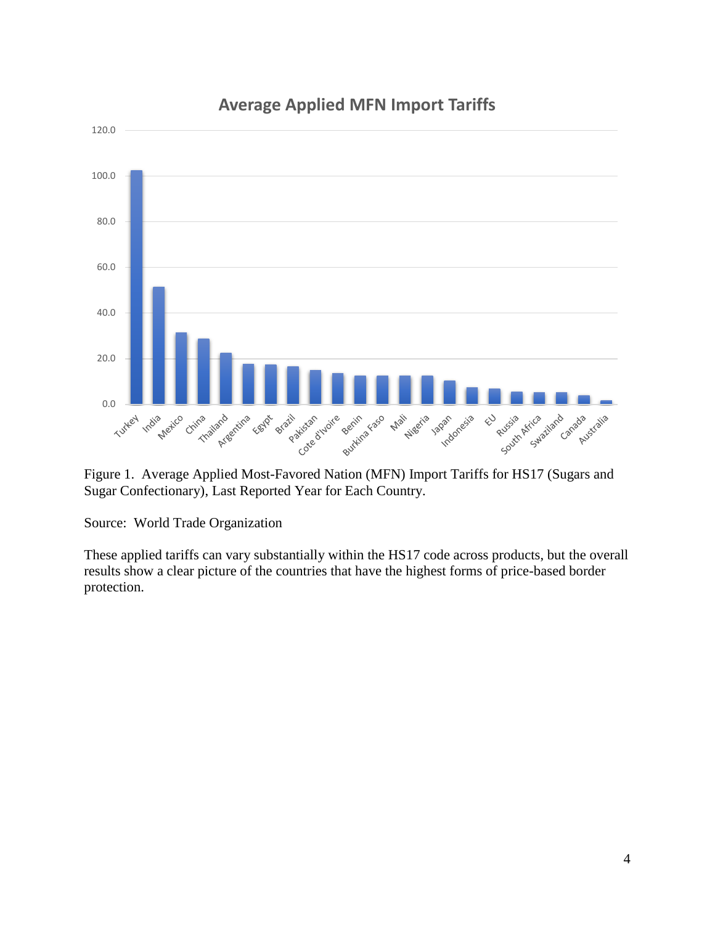

# **Average Applied MFN Import Tariffs**

Figure 1. Average Applied Most-Favored Nation (MFN) Import Tariffs for HS17 (Sugars and Sugar Confectionary), Last Reported Year for Each Country.

Source: World Trade Organization

These applied tariffs can vary substantially within the HS17 code across products, but the overall results show a clear picture of the countries that have the highest forms of price-based border protection.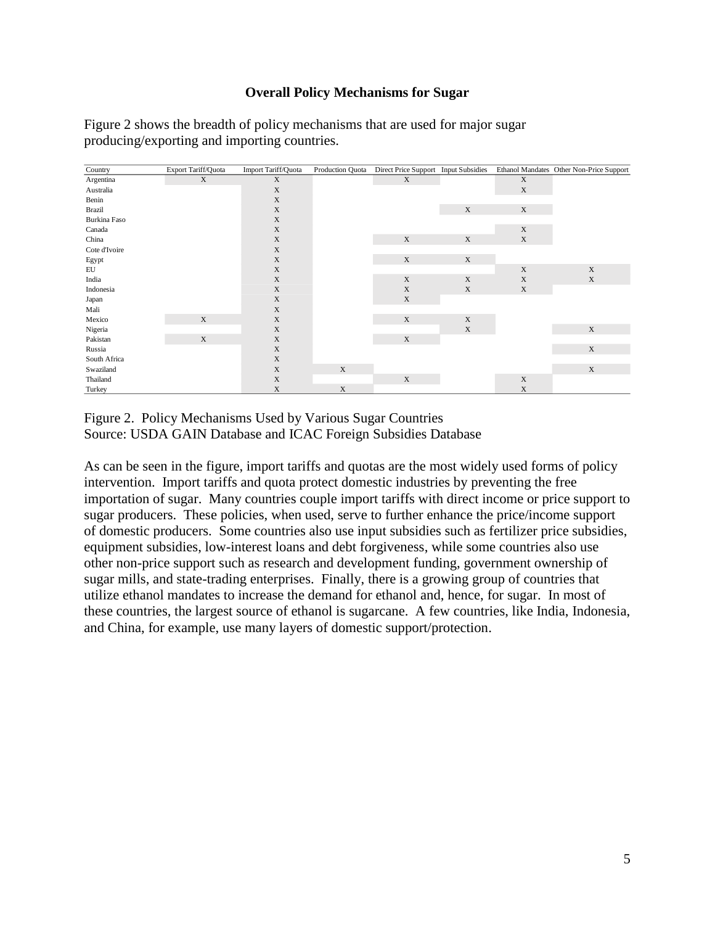#### **Overall Policy Mechanisms for Sugar**

Figure 2 shows the breadth of policy mechanisms that are used for major sugar producing/exporting and importing countries.

| Country       | Export Tariff/Quota | Import Tariff/Quota | Production Quota | Direct Price Support Input Subsidies |             |             | Ethanol Mandates Other Non-Price Support |
|---------------|---------------------|---------------------|------------------|--------------------------------------|-------------|-------------|------------------------------------------|
| Argentina     | $\mathbf X$         | $\mathbf X$         |                  | X                                    |             | $\mathbf X$ |                                          |
| Australia     |                     | $\mathbf X$         |                  |                                      |             | $\mathbf X$ |                                          |
| Benin         |                     | $\mathbf X$         |                  |                                      |             |             |                                          |
| <b>Brazil</b> |                     | $\mathbf X$         |                  |                                      | $\mathbf X$ | $\mathbf X$ |                                          |
| Burkina Faso  |                     | $\mathbf X$         |                  |                                      |             |             |                                          |
| Canada        |                     | $\mathbf X$         |                  |                                      |             | $\mathbf X$ |                                          |
| China         |                     | $\mathbf X$         |                  | $\mathbf X$                          | X           | $\mathbf X$ |                                          |
| Cote d'Ivoire |                     | $\mathbf X$         |                  |                                      |             |             |                                          |
| Egypt         |                     | $\mathbf X$         |                  | $\mathbf X$                          | $\mathbf X$ |             |                                          |
| EU            |                     | $\mathbf X$         |                  |                                      |             | $\mathbf X$ | $\mathbf X$                              |
| India         |                     | $\mathbf X$         |                  | $\mathbf X$                          | $\mathbf X$ | $\mathbf X$ | $\mathbf X$                              |
| Indonesia     |                     | $\mathbf X$         |                  | $\mathbf X$                          | $\mathbf X$ | $\mathbf X$ |                                          |
| Japan         |                     | $\mathbf X$         |                  | $\mathbf X$                          |             |             |                                          |
| Mali          |                     | $\mathbf X$         |                  |                                      |             |             |                                          |
| Mexico        | $\mathbf X$         | $\mathbf X$         |                  | $\mathbf X$                          | $\mathbf X$ |             |                                          |
| Nigeria       |                     | $\mathbf X$         |                  |                                      | $\mathbf X$ |             | $\mathbf X$                              |
| Pakistan      | $\mathbf X$         | $\mathbf X$         |                  | $\mathbf X$                          |             |             |                                          |
| Russia        |                     | $\mathbf X$         |                  |                                      |             |             | $\mathbf X$                              |
| South Africa  |                     | $\mathbf X$         |                  |                                      |             |             |                                          |
| Swaziland     |                     | $\mathbf X$         | $\mathbf X$      |                                      |             |             | $\mathbf X$                              |
| Thailand      |                     | $\mathbf X$         |                  | $\mathbf X$                          |             | $\mathbf X$ |                                          |
| Turkey        |                     | $\mathbf X$         | $\mathbf X$      |                                      |             | $\mathbf X$ |                                          |

Figure 2. Policy Mechanisms Used by Various Sugar Countries Source: USDA GAIN Database and ICAC Foreign Subsidies Database

As can be seen in the figure, import tariffs and quotas are the most widely used forms of policy intervention. Import tariffs and quota protect domestic industries by preventing the free importation of sugar. Many countries couple import tariffs with direct income or price support to sugar producers. These policies, when used, serve to further enhance the price/income support of domestic producers. Some countries also use input subsidies such as fertilizer price subsidies, equipment subsidies, low-interest loans and debt forgiveness, while some countries also use other non-price support such as research and development funding, government ownership of sugar mills, and state-trading enterprises. Finally, there is a growing group of countries that utilize ethanol mandates to increase the demand for ethanol and, hence, for sugar. In most of these countries, the largest source of ethanol is sugarcane. A few countries, like India, Indonesia, and China, for example, use many layers of domestic support/protection.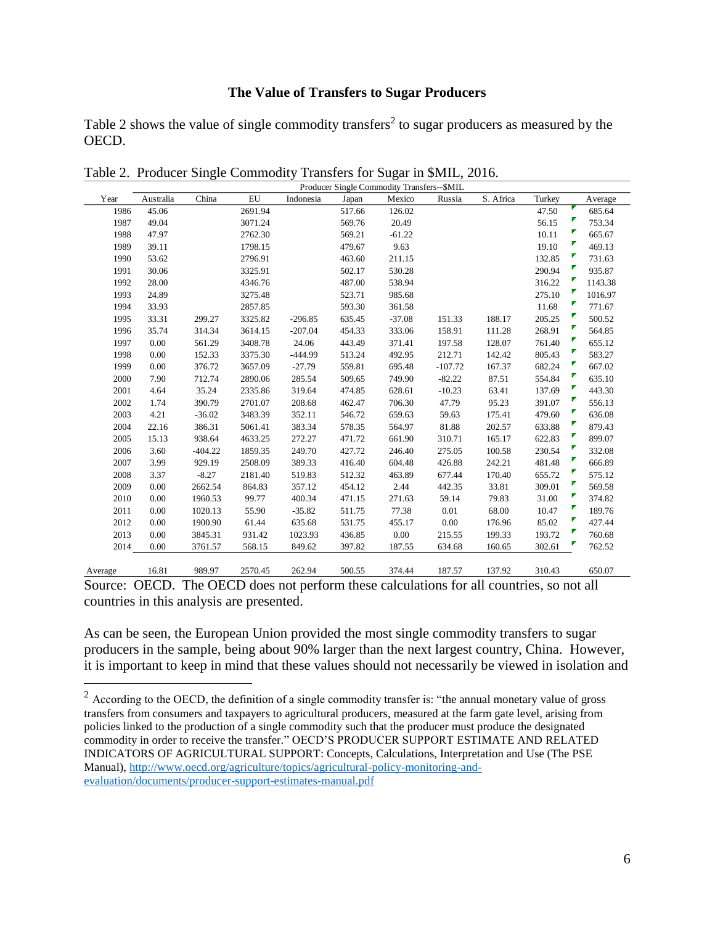#### **The Value of Transfers to Sugar Producers**

Table 2 shows the value of single commodity transfers<sup>2</sup> to sugar producers as measured by the OECD.

|         | Producer Single Commodity Transfers--\$MIL |           |            |           |        |          |           |           |        |             |
|---------|--------------------------------------------|-----------|------------|-----------|--------|----------|-----------|-----------|--------|-------------|
| Year    | Australia                                  | China     | ${\rm EU}$ | Indonesia | Japan  | Mexico   | Russia    | S. Africa | Turkey | Average     |
| 1986    | 45.06                                      |           | 2691.94    |           | 517.66 | 126.02   |           |           | 47.50  | 685.64      |
| 1987    | 49.04                                      |           | 3071.24    |           | 569.76 | 20.49    |           |           | 56.15  | Ζ<br>753.34 |
| 1988    | 47.97                                      |           | 2762.30    |           | 569.21 | $-61.22$ |           |           | 10.11  | 665.67      |
| 1989    | 39.11                                      |           | 1798.15    |           | 479.67 | 9.63     |           |           | 19.10  | 469.13      |
| 1990    | 53.62                                      |           | 2796.91    |           | 463.60 | 211.15   |           |           | 132.85 | 731.63      |
| 1991    | 30.06                                      |           | 3325.91    |           | 502.17 | 530.28   |           |           | 290.94 | 935.87      |
| 1992    | 28.00                                      |           | 4346.76    |           | 487.00 | 538.94   |           |           | 316.22 | 1143.38     |
| 1993    | 24.89                                      |           | 3275.48    |           | 523.71 | 985.68   |           |           | 275.10 | 1016.97     |
| 1994    | 33.93                                      |           | 2857.85    |           | 593.30 | 361.58   |           |           | 11.68  | 771.67      |
| 1995    | 33.31                                      | 299.27    | 3325.82    | $-296.85$ | 635.45 | $-37.08$ | 151.33    | 188.17    | 205.25 | 500.52      |
| 1996    | 35.74                                      | 314.34    | 3614.15    | $-207.04$ | 454.33 | 333.06   | 158.91    | 111.28    | 268.91 | 564.85      |
| 1997    | 0.00                                       | 561.29    | 3408.78    | 24.06     | 443.49 | 371.41   | 197.58    | 128.07    | 761.40 | 655.12      |
| 1998    | 0.00                                       | 152.33    | 3375.30    | $-444.99$ | 513.24 | 492.95   | 212.71    | 142.42    | 805.43 | 583.27      |
| 1999    | 0.00                                       | 376.72    | 3657.09    | $-27.79$  | 559.81 | 695.48   | $-107.72$ | 167.37    | 682.24 | ┏<br>667.02 |
| 2000    | 7.90                                       | 712.74    | 2890.06    | 285.54    | 509.65 | 749.90   | $-82.22$  | 87.51     | 554.84 | 635.10      |
| 2001    | 4.64                                       | 35.24     | 2335.86    | 319.64    | 474.85 | 628.61   | $-10.23$  | 63.41     | 137.69 | 443.30      |
| 2002    | 1.74                                       | 390.79    | 2701.07    | 208.68    | 462.47 | 706.30   | 47.79     | 95.23     | 391.07 | 556.13      |
| 2003    | 4.21                                       | $-36.02$  | 3483.39    | 352.11    | 546.72 | 659.63   | 59.63     | 175.41    | 479.60 | 636.08      |
| 2004    | 22.16                                      | 386.31    | 5061.41    | 383.34    | 578.35 | 564.97   | 81.88     | 202.57    | 633.88 | 879.43      |
| 2005    | 15.13                                      | 938.64    | 4633.25    | 272.27    | 471.72 | 661.90   | 310.71    | 165.17    | 622.83 | 899.07      |
| 2006    | 3.60                                       | $-404.22$ | 1859.35    | 249.70    | 427.72 | 246.40   | 275.05    | 100.58    | 230.54 | Γ<br>332.08 |
| 2007    | 3.99                                       | 929.19    | 2508.09    | 389.33    | 416.40 | 604.48   | 426.88    | 242.21    | 481.48 | 666.89      |
| 2008    | 3.37                                       | $-8.27$   | 2181.40    | 519.83    | 512.32 | 463.89   | 677.44    | 170.40    | 655.72 | 575.12      |
| 2009    | 0.00                                       | 2662.54   | 864.83     | 357.12    | 454.12 | 2.44     | 442.35    | 33.81     | 309.01 | 569.58      |
| 2010    | 0.00                                       | 1960.53   | 99.77      | 400.34    | 471.15 | 271.63   | 59.14     | 79.83     | 31.00  | 374.82      |
| 2011    | 0.00                                       | 1020.13   | 55.90      | $-35.82$  | 511.75 | 77.38    | 0.01      | 68.00     | 10.47  | 189.76      |
| 2012    | 0.00                                       | 1900.90   | 61.44      | 635.68    | 531.75 | 455.17   | 0.00      | 176.96    | 85.02  | 427.44      |
| 2013    | 0.00                                       | 3845.31   | 931.42     | 1023.93   | 436.85 | 0.00     | 215.55    | 199.33    | 193.72 | 760.68      |
| 2014    | 0.00                                       | 3761.57   | 568.15     | 849.62    | 397.82 | 187.55   | 634.68    | 160.65    | 302.61 | 762.52      |
| Average | 16.81                                      | 989.97    | 2570.45    | 262.94    | 500.55 | 374.44   | 187.57    | 137.92    | 310.43 | 650.07      |

Table 2. Producer Single Commodity Transfers for Sugar in \$MIL, 2016.

As can be seen, the European Union provided the most single commodity transfers to sugar producers in the sample, being about 90% larger than the next largest country, China. However, it is important to keep in mind that these values should not necessarily be viewed in isolation and

Source: OECD. The OECD does not perform these calculations for all countries, so not all countries in this analysis are presented.

 $2 \text{ According to the OECD, the definition of a single commodity transfer is: "the annual monetary value of gross" }$ transfers from consumers and taxpayers to agricultural producers, measured at the farm gate level, arising from policies linked to the production of a single commodity such that the producer must produce the designated commodity in order to receive the transfer." OECD'S PRODUCER SUPPORT ESTIMATE AND RELATED INDICATORS OF AGRICULTURAL SUPPORT: Concepts, Calculations, Interpretation and Use (The PSE Manual), [http://www.oecd.org/agriculture/topics/agricultural-policy-monitoring-and](http://www.oecd.org/agriculture/topics/agricultural-policy-monitoring-and-evaluation/documents/producer-support-estimates-manual.pdf)[evaluation/documents/producer-support-estimates-manual.pdf](http://www.oecd.org/agriculture/topics/agricultural-policy-monitoring-and-evaluation/documents/producer-support-estimates-manual.pdf)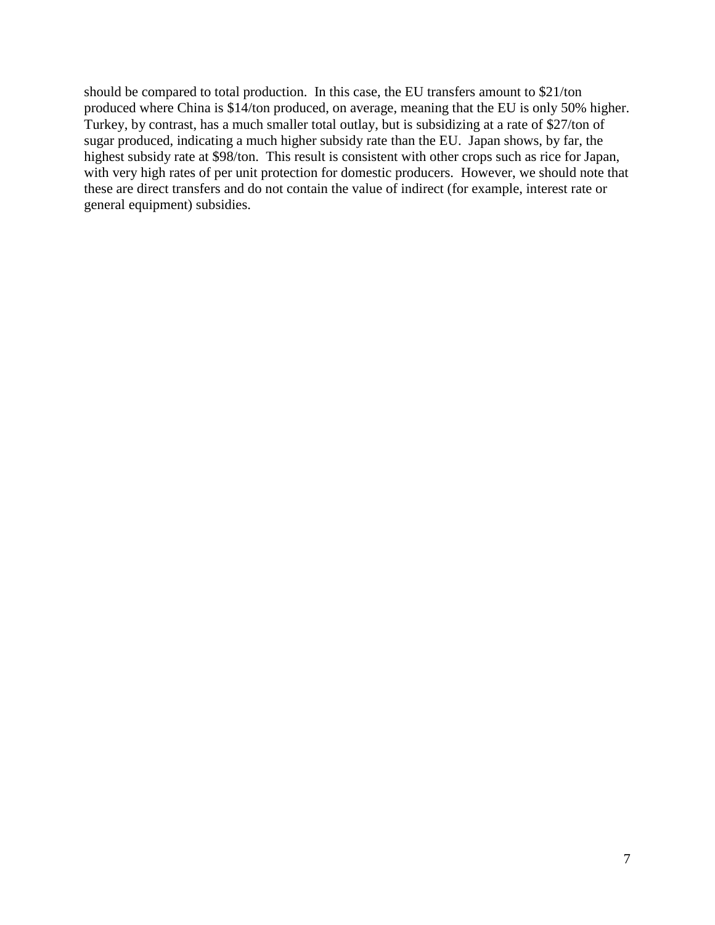should be compared to total production. In this case, the EU transfers amount to \$21/ton produced where China is \$14/ton produced, on average, meaning that the EU is only 50% higher. Turkey, by contrast, has a much smaller total outlay, but is subsidizing at a rate of \$27/ton of sugar produced, indicating a much higher subsidy rate than the EU. Japan shows, by far, the highest subsidy rate at \$98/ton. This result is consistent with other crops such as rice for Japan, with very high rates of per unit protection for domestic producers. However, we should note that these are direct transfers and do not contain the value of indirect (for example, interest rate or general equipment) subsidies.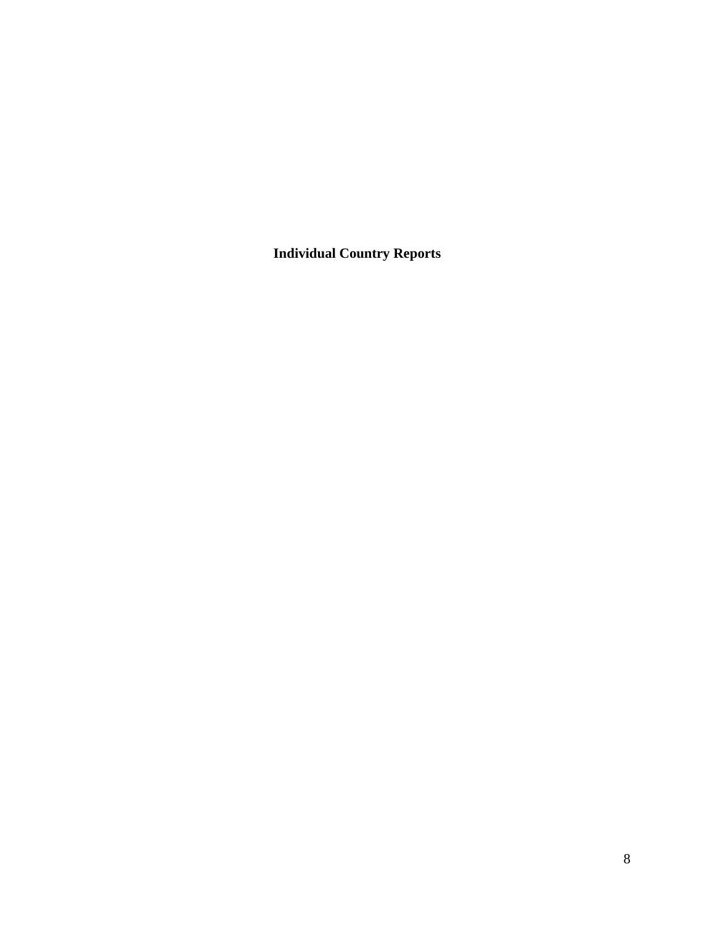**Individual Country Reports**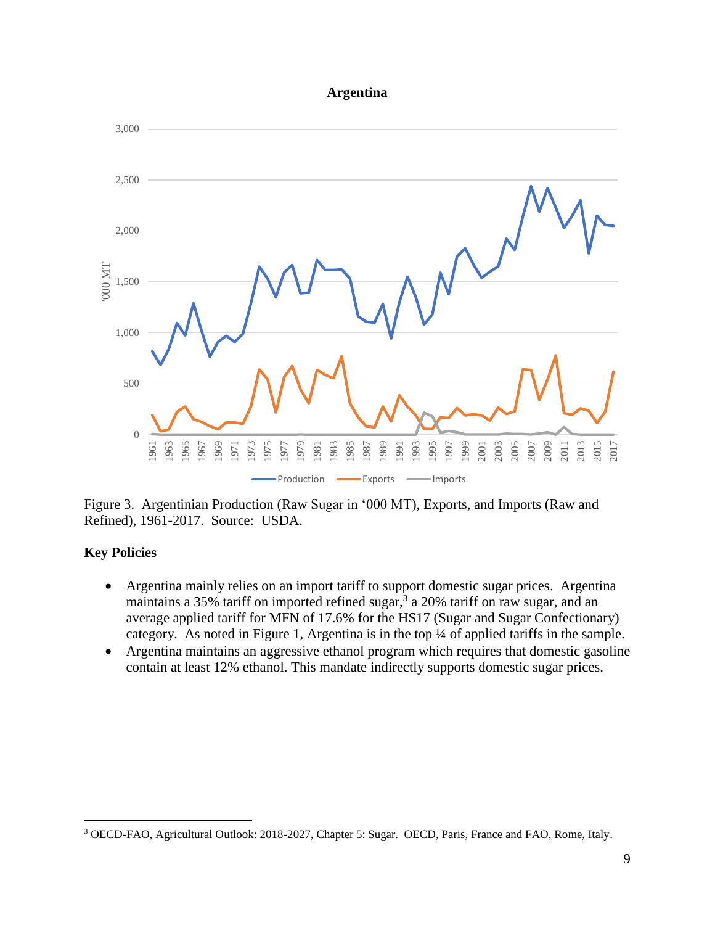#### **Argentina**



Figure 3. Argentinian Production (Raw Sugar in '000 MT), Exports, and Imports (Raw and Refined), 1961-2017. Source: USDA.

### **Key Policies**

- Argentina mainly relies on an import tariff to support domestic sugar prices. Argentina maintains a 35% tariff on imported refined sugar,<sup>3</sup> a 20% tariff on raw sugar, and an average applied tariff for MFN of 17.6% for the HS17 (Sugar and Sugar Confectionary) category. As noted in Figure 1, Argentina is in the top ¼ of applied tariffs in the sample.
- Argentina maintains an aggressive ethanol program which requires that domestic gasoline contain at least 12% ethanol. This mandate indirectly supports domestic sugar prices.

OECD-FAO, Agricultural Outlook: 2018-2027, Chapter 5: Sugar. OECD, Paris, France and FAO, Rome, Italy.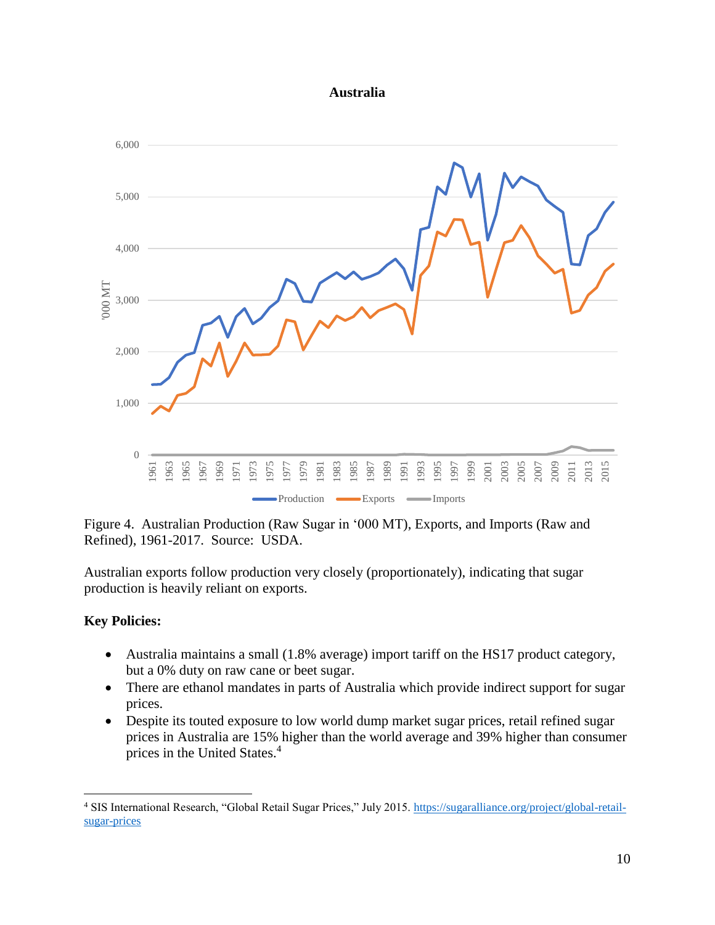#### **Australia**



Figure 4. Australian Production (Raw Sugar in '000 MT), Exports, and Imports (Raw and Refined), 1961-2017. Source: USDA.

Australian exports follow production very closely (proportionately), indicating that sugar production is heavily reliant on exports.

#### **Key Policies:**

- Australia maintains a small (1.8% average) import tariff on the HS17 product category, but a 0% duty on raw cane or beet sugar.
- There are ethanol mandates in parts of Australia which provide indirect support for sugar prices.
- Despite its touted exposure to low world dump market sugar prices, retail refined sugar prices in Australia are 15% higher than the world average and 39% higher than consumer prices in the United States.<sup>4</sup>

<sup>4</sup> SIS International Research, "Global Retail Sugar Prices," July 2015. [https://sugaralliance.org/project/global-retail](https://sugaralliance.org/project/global-retail-sugar-prices)[sugar-prices](https://sugaralliance.org/project/global-retail-sugar-prices)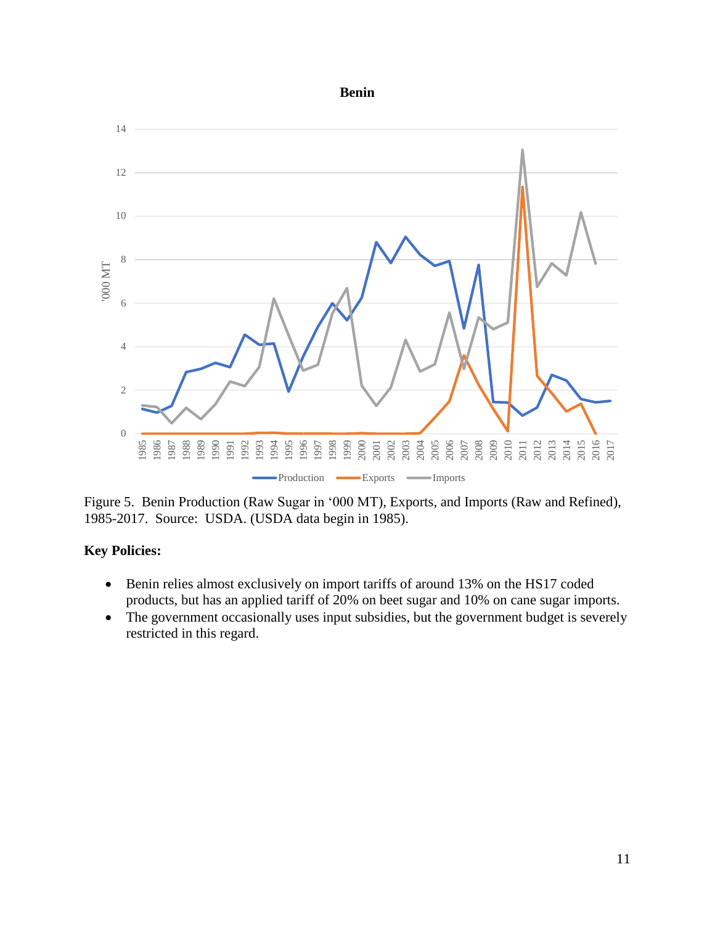### **Benin**



Figure 5. Benin Production (Raw Sugar in '000 MT), Exports, and Imports (Raw and Refined), 1985-2017. Source: USDA. (USDA data begin in 1985).

- Benin relies almost exclusively on import tariffs of around 13% on the HS17 coded products, but has an applied tariff of 20% on beet sugar and 10% on cane sugar imports.
- The government occasionally uses input subsidies, but the government budget is severely restricted in this regard.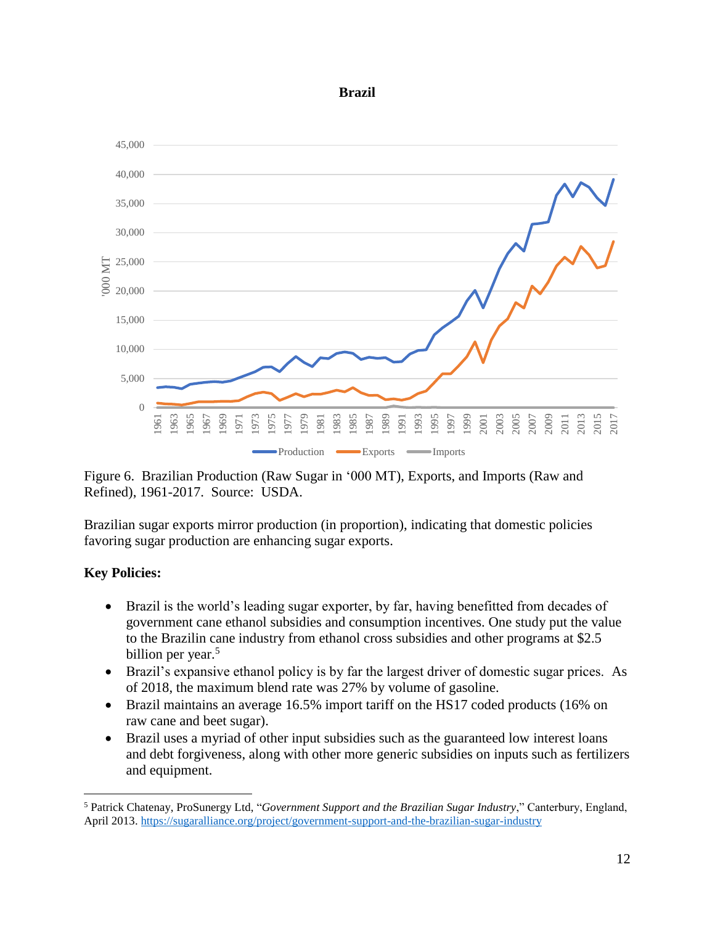#### **Brazil**



Figure 6. Brazilian Production (Raw Sugar in '000 MT), Exports, and Imports (Raw and Refined), 1961-2017. Source: USDA.

Brazilian sugar exports mirror production (in proportion), indicating that domestic policies favoring sugar production are enhancing sugar exports.

# **Key Policies:**

- Brazil is the world's leading sugar exporter, by far, having benefitted from decades of government cane ethanol subsidies and consumption incentives. One study put the value to the Brazilin cane industry from ethanol cross subsidies and other programs at \$2.5 billion per year.<sup>5</sup>
- Brazil's expansive ethanol policy is by far the largest driver of domestic sugar prices. As of 2018, the maximum blend rate was 27% by volume of gasoline.
- Brazil maintains an average 16.5% import tariff on the HS17 coded products (16% on raw cane and beet sugar).
- Brazil uses a myriad of other input subsidies such as the guaranteed low interest loans and debt forgiveness, along with other more generic subsidies on inputs such as fertilizers and equipment.

<sup>5</sup> Patrick Chatenay, ProSunergy Ltd, "*Government Support and the Brazilian Sugar Industry*," Canterbury, England, April 2013[. https://sugaralliance.org/project/government-support-and-the-brazilian-sugar-industry](https://sugaralliance.org/project/government-support-and-the-brazilian-sugar-industry)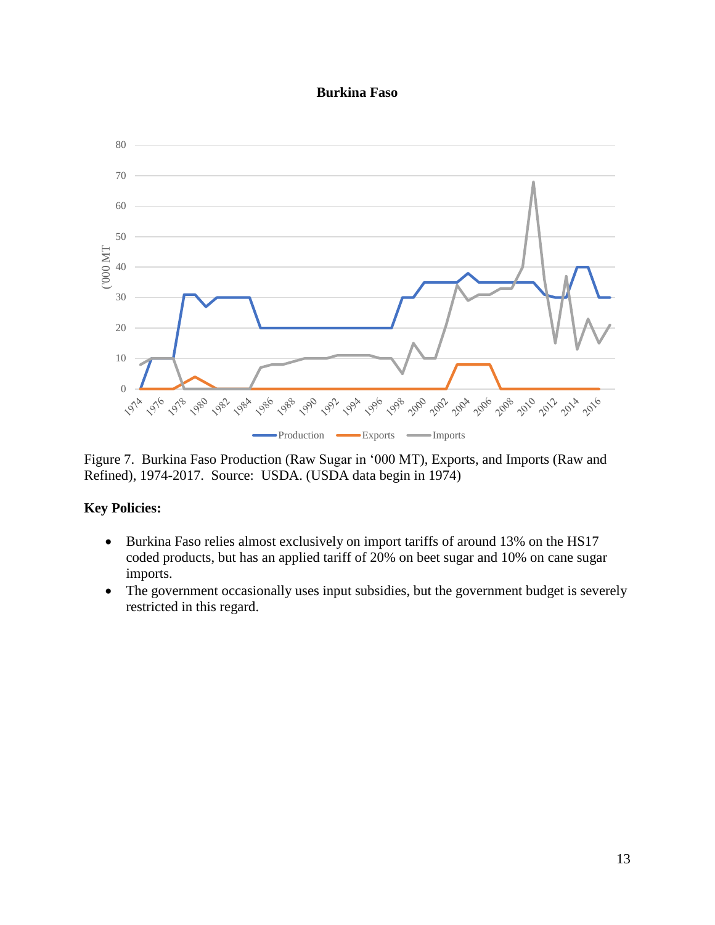#### **Burkina Faso**



Figure 7. Burkina Faso Production (Raw Sugar in '000 MT), Exports, and Imports (Raw and Refined), 1974-2017. Source: USDA. (USDA data begin in 1974)

- Burkina Faso relies almost exclusively on import tariffs of around 13% on the HS17 coded products, but has an applied tariff of 20% on beet sugar and 10% on cane sugar imports.
- The government occasionally uses input subsidies, but the government budget is severely restricted in this regard.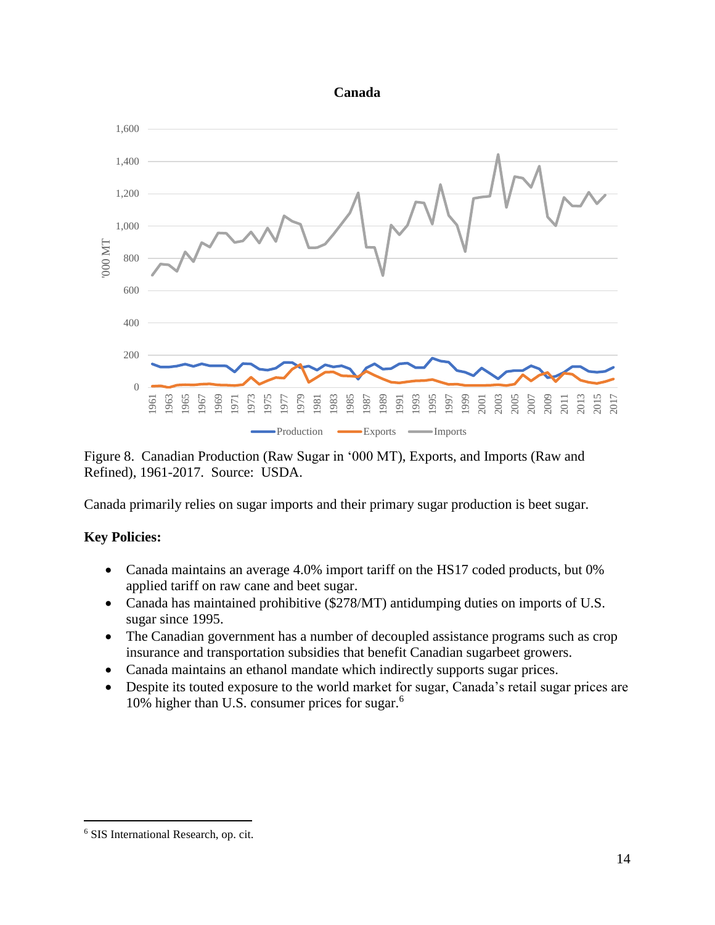#### **Canada**



Figure 8. Canadian Production (Raw Sugar in '000 MT), Exports, and Imports (Raw and Refined), 1961-2017. Source: USDA.

Canada primarily relies on sugar imports and their primary sugar production is beet sugar.

# **Key Policies:**

- Canada maintains an average 4.0% import tariff on the HS17 coded products, but 0% applied tariff on raw cane and beet sugar.
- Canada has maintained prohibitive (\$278/MT) antidumping duties on imports of U.S. sugar since 1995.
- The Canadian government has a number of decoupled assistance programs such as crop insurance and transportation subsidies that benefit Canadian sugarbeet growers.
- Canada maintains an ethanol mandate which indirectly supports sugar prices.
- Despite its touted exposure to the world market for sugar, Canada's retail sugar prices are 10% higher than U.S. consumer prices for sugar.<sup>6</sup>

SIS International Research, op. cit.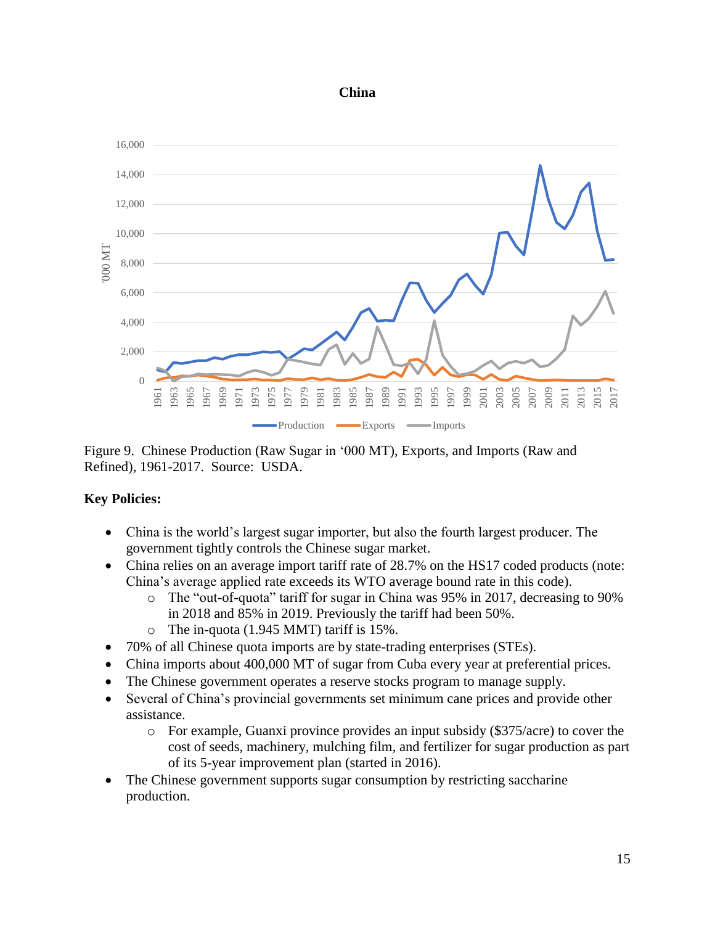#### **China**



Figure 9. Chinese Production (Raw Sugar in '000 MT), Exports, and Imports (Raw and Refined), 1961-2017. Source: USDA.

- China is the world's largest sugar importer, but also the fourth largest producer. The government tightly controls the Chinese sugar market.
- China relies on an average import tariff rate of 28.7% on the HS17 coded products (note: China's average applied rate exceeds its WTO average bound rate in this code).
	- o The "out-of-quota" tariff for sugar in China was 95% in 2017, decreasing to 90% in 2018 and 85% in 2019. Previously the tariff had been 50%.
	- o The in-quota (1.945 MMT) tariff is 15%.
- 70% of all Chinese quota imports are by state-trading enterprises (STEs).
- China imports about 400,000 MT of sugar from Cuba every year at preferential prices.
- The Chinese government operates a reserve stocks program to manage supply.
- Several of China's provincial governments set minimum cane prices and provide other assistance.
	- o For example, Guanxi province provides an input subsidy (\$375/acre) to cover the cost of seeds, machinery, mulching film, and fertilizer for sugar production as part of its 5-year improvement plan (started in 2016).
- The Chinese government supports sugar consumption by restricting saccharine production.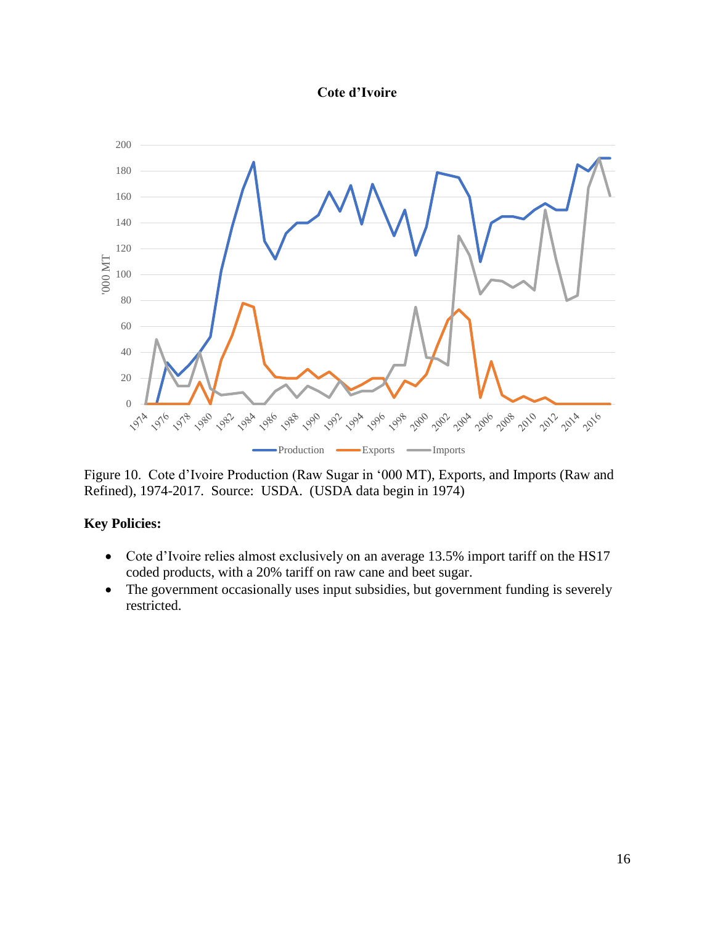#### **Cote d'Ivoire**



Figure 10. Cote d'Ivoire Production (Raw Sugar in '000 MT), Exports, and Imports (Raw and Refined), 1974-2017. Source: USDA. (USDA data begin in 1974)

- Cote d'Ivoire relies almost exclusively on an average 13.5% import tariff on the HS17 coded products, with a 20% tariff on raw cane and beet sugar.
- The government occasionally uses input subsidies, but government funding is severely restricted.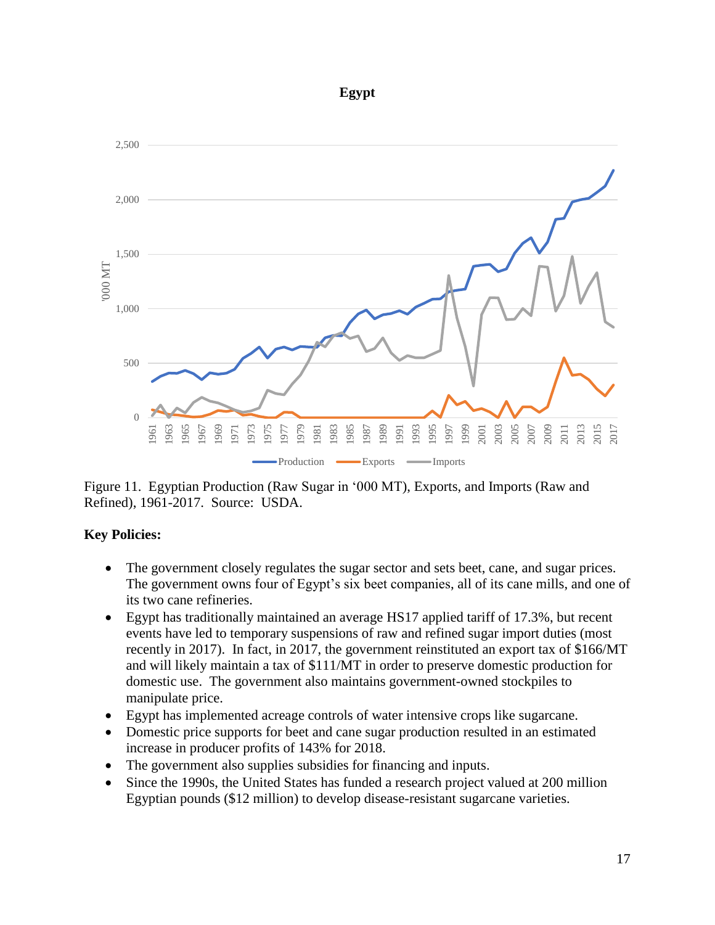#### **Egypt**



Figure 11. Egyptian Production (Raw Sugar in '000 MT), Exports, and Imports (Raw and Refined), 1961-2017. Source: USDA.

- The government closely regulates the sugar sector and sets beet, cane, and sugar prices. The government owns four of Egypt's six beet companies, all of its cane mills, and one of its two cane refineries.
- Egypt has traditionally maintained an average HS17 applied tariff of 17.3%, but recent events have led to temporary suspensions of raw and refined sugar import duties (most recently in 2017). In fact, in 2017, the government reinstituted an export tax of \$166/MT and will likely maintain a tax of \$111/MT in order to preserve domestic production for domestic use. The government also maintains government-owned stockpiles to manipulate price.
- Egypt has implemented acreage controls of water intensive crops like sugarcane.
- Domestic price supports for beet and cane sugar production resulted in an estimated increase in producer profits of 143% for 2018.
- The government also supplies subsidies for financing and inputs.
- Since the 1990s, the United States has funded a research project valued at 200 million Egyptian pounds (\$12 million) to develop disease-resistant sugarcane varieties.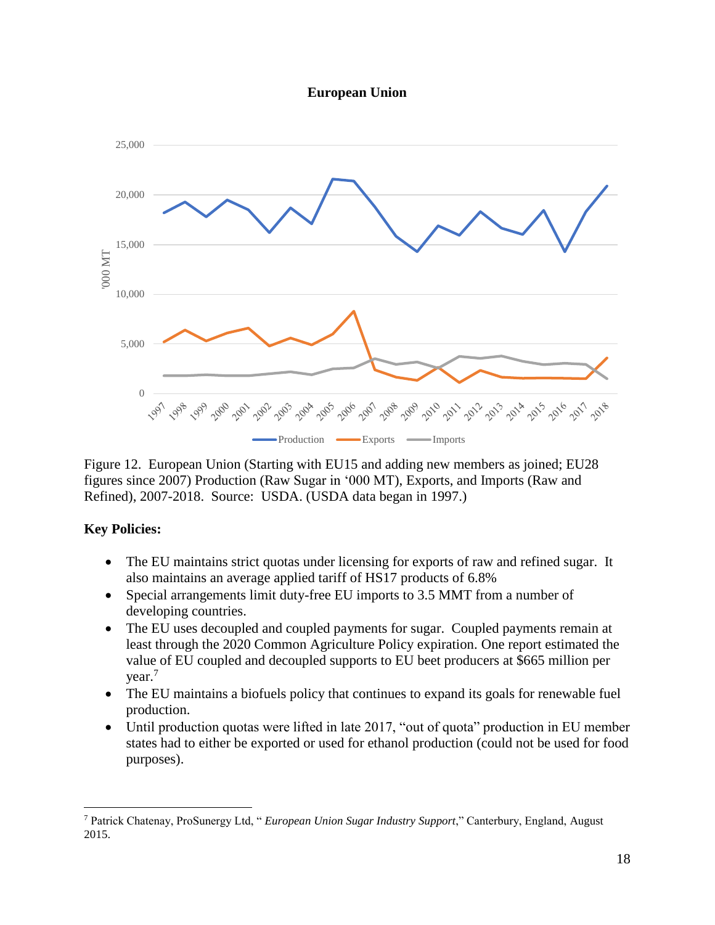



Figure 12. European Union (Starting with EU15 and adding new members as joined; EU28 figures since 2007) Production (Raw Sugar in '000 MT), Exports, and Imports (Raw and Refined), 2007-2018. Source: USDA. (USDA data began in 1997.)

### **Key Policies:**

- The EU maintains strict quotas under licensing for exports of raw and refined sugar. It also maintains an average applied tariff of HS17 products of 6.8%
- Special arrangements limit duty-free EU imports to 3.5 MMT from a number of developing countries.
- The EU uses decoupled and coupled payments for sugar. Coupled payments remain at least through the 2020 Common Agriculture Policy expiration. One report estimated the value of EU coupled and decoupled supports to EU beet producers at \$665 million per year.<sup>7</sup>
- The EU maintains a biofuels policy that continues to expand its goals for renewable fuel production.
- Until production quotas were lifted in late 2017, "out of quota" production in EU member states had to either be exported or used for ethanol production (could not be used for food purposes).

<sup>7</sup> Patrick Chatenay, ProSunergy Ltd, " *European Union Sugar Industry Support*," Canterbury, England, August 2015.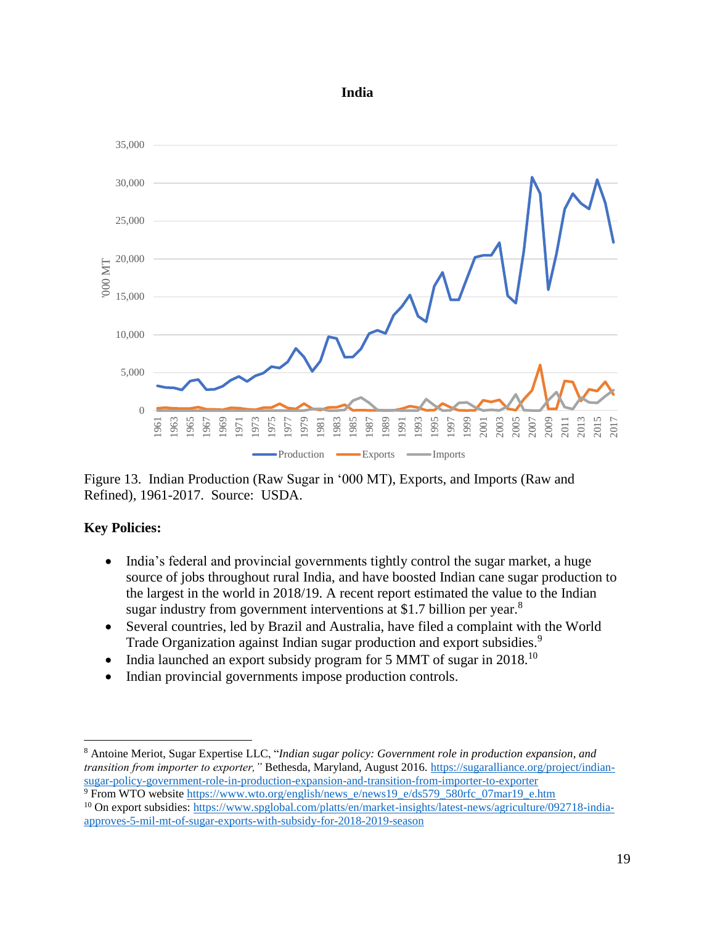



Figure 13. Indian Production (Raw Sugar in '000 MT), Exports, and Imports (Raw and Refined), 1961-2017. Source: USDA.

- India's federal and provincial governments tightly control the sugar market, a huge source of jobs throughout rural India, and have boosted Indian cane sugar production to the largest in the world in 2018/19. A recent report estimated the value to the Indian sugar industry from government interventions at \$1.7 billion per year.<sup>8</sup>
- Several countries, led by Brazil and Australia, have filed a complaint with the World Trade Organization against Indian sugar production and export subsidies.<sup>9</sup>
- India launched an export subsidy program for 5 MMT of sugar in 2018.<sup>10</sup>
- Indian provincial governments impose production controls.

 $\overline{a}$ <sup>8</sup> Antoine Meriot, Sugar Expertise LLC, "*Indian sugar policy: Government role in production expansion, and transition from importer to exporter,"* Bethesda, Maryland, August 2016*.* [https://sugaralliance.org/project/indian](https://sugaralliance.org/project/indian-sugar-policy-government-role-in-production-expansion-and-transition-from-importer-to-exporter)[sugar-policy-government-role-in-production-expansion-and-transition-from-importer-to-exporter](https://sugaralliance.org/project/indian-sugar-policy-government-role-in-production-expansion-and-transition-from-importer-to-exporter)

<sup>9</sup> From WTO website [https://www.wto.org/english/news\\_e/news19\\_e/ds579\\_580rfc\\_07mar19\\_e.htm](https://www.wto.org/english/news_e/news19_e/ds579_580rfc_07mar19_e.htm) <sup>10</sup> On export subsidies: [https://www.spglobal.com/platts/en/market-insights/latest-news/agriculture/092718-india](https://www.spglobal.com/platts/en/market-insights/latest-news/agriculture/092718-india-approves-5-mil-mt-of-sugar-exports-with-subsidy-for-2018-2019-season)[approves-5-mil-mt-of-sugar-exports-with-subsidy-for-2018-2019-season](https://www.spglobal.com/platts/en/market-insights/latest-news/agriculture/092718-india-approves-5-mil-mt-of-sugar-exports-with-subsidy-for-2018-2019-season)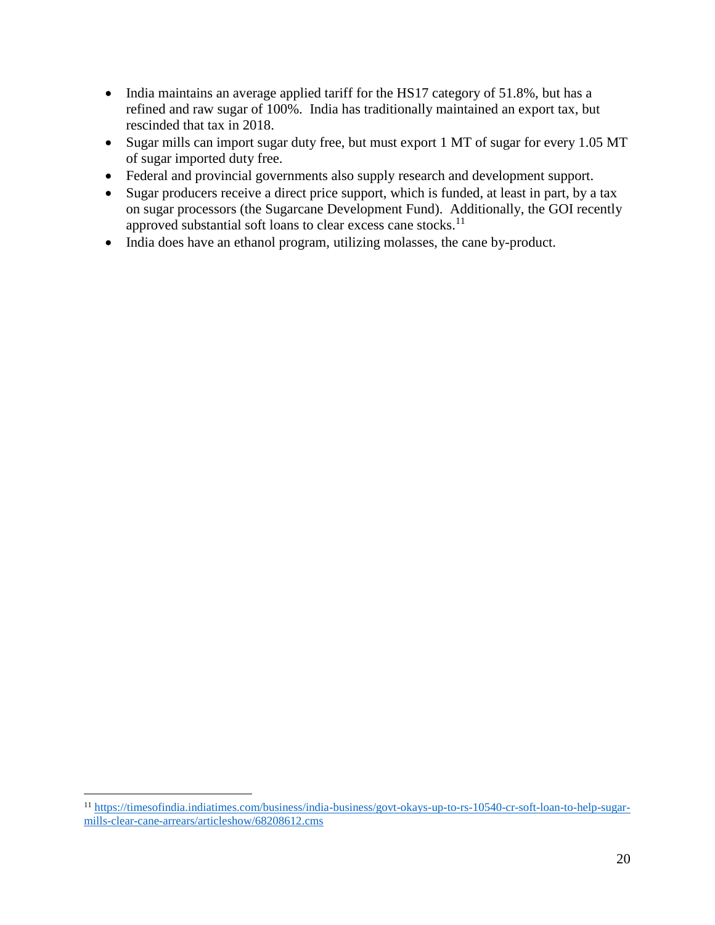- India maintains an average applied tariff for the HS17 category of 51.8%, but has a refined and raw sugar of 100%. India has traditionally maintained an export tax, but rescinded that tax in 2018.
- Sugar mills can import sugar duty free, but must export 1 MT of sugar for every 1.05 MT of sugar imported duty free.
- Federal and provincial governments also supply research and development support.
- Sugar producers receive a direct price support, which is funded, at least in part, by a tax on sugar processors (the Sugarcane Development Fund). Additionally, the GOI recently approved substantial soft loans to clear excess cane stocks.<sup>11</sup>
- India does have an ethanol program, utilizing molasses, the cane by-product.

<sup>11</sup> [https://timesofindia.indiatimes.com/business/india-business/govt-okays-up-to-rs-10540-cr-soft-loan-to-help-sugar](https://timesofindia.indiatimes.com/business/india-business/govt-okays-up-to-rs-10540-cr-soft-loan-to-help-sugar-mills-clear-cane-arrears/articleshow/68208612.cms)[mills-clear-cane-arrears/articleshow/68208612.cms](https://timesofindia.indiatimes.com/business/india-business/govt-okays-up-to-rs-10540-cr-soft-loan-to-help-sugar-mills-clear-cane-arrears/articleshow/68208612.cms)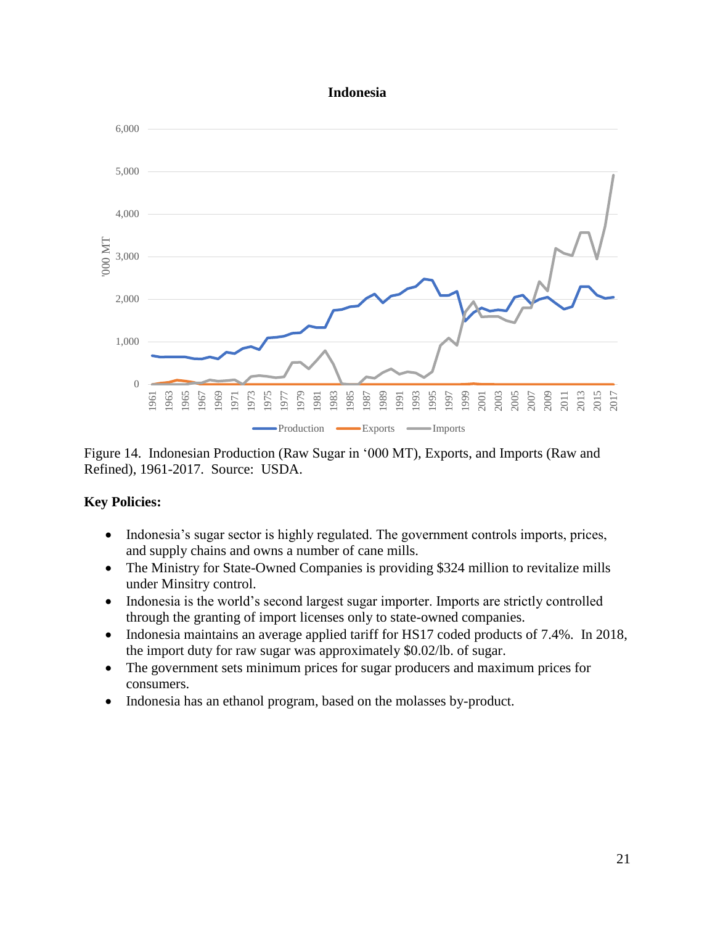#### **Indonesia**



Figure 14. Indonesian Production (Raw Sugar in '000 MT), Exports, and Imports (Raw and Refined), 1961-2017. Source: USDA.

- Indonesia's sugar sector is highly regulated. The government controls imports, prices, and supply chains and owns a number of cane mills.
- The Ministry for State-Owned Companies is providing \$324 million to revitalize mills under Minsitry control.
- Indonesia is the world's second largest sugar importer. Imports are strictly controlled through the granting of import licenses only to state-owned companies.
- Indonesia maintains an average applied tariff for HS17 coded products of 7.4%. In 2018, the import duty for raw sugar was approximately \$0.02/lb. of sugar.
- The government sets minimum prices for sugar producers and maximum prices for consumers.
- Indonesia has an ethanol program, based on the molasses by-product.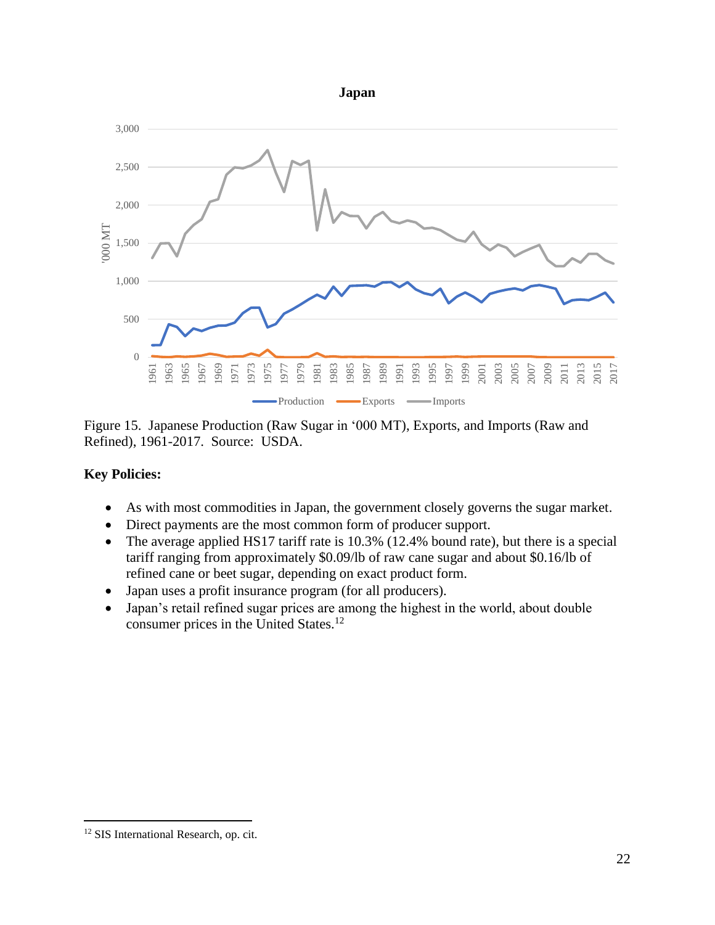



Figure 15. Japanese Production (Raw Sugar in '000 MT), Exports, and Imports (Raw and Refined), 1961-2017. Source: USDA.

### **Key Policies:**

- As with most commodities in Japan, the government closely governs the sugar market.
- Direct payments are the most common form of producer support.
- The average applied HS17 tariff rate is 10.3% (12.4% bound rate), but there is a special tariff ranging from approximately \$0.09/lb of raw cane sugar and about \$0.16/lb of refined cane or beet sugar, depending on exact product form.
- Japan uses a profit insurance program (for all producers).
- Japan's retail refined sugar prices are among the highest in the world, about double consumer prices in the United States.<sup>12</sup>

<sup>&</sup>lt;sup>12</sup> SIS International Research, op. cit.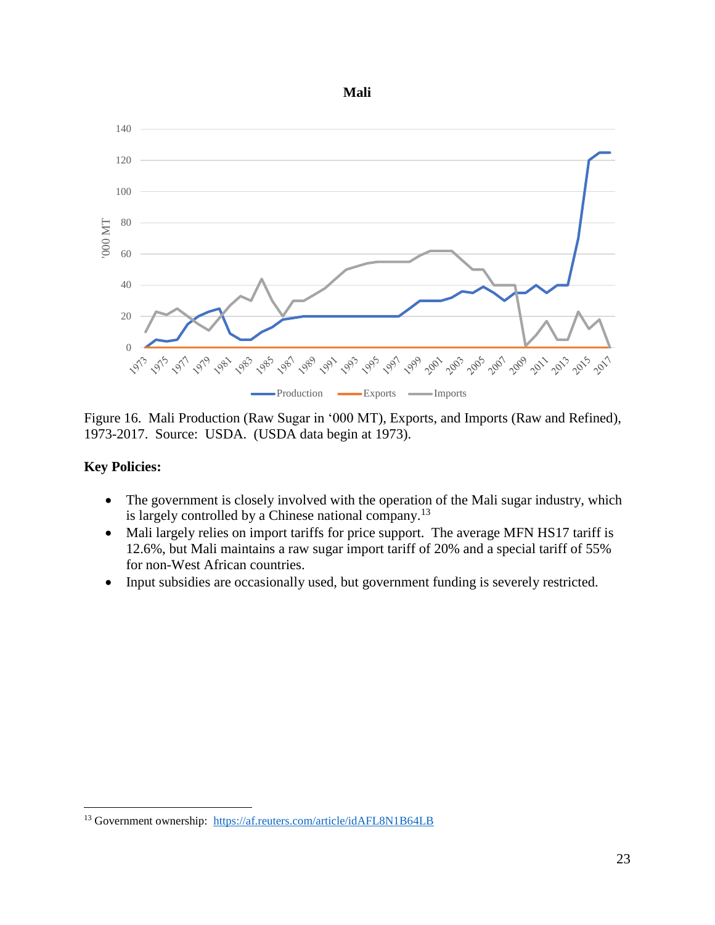



Figure 16. Mali Production (Raw Sugar in '000 MT), Exports, and Imports (Raw and Refined), 1973-2017. Source: USDA. (USDA data begin at 1973).

- The government is closely involved with the operation of the Mali sugar industry, which is largely controlled by a Chinese national company.<sup>13</sup>
- Mali largely relies on import tariffs for price support. The average MFN HS17 tariff is 12.6%, but Mali maintains a raw sugar import tariff of 20% and a special tariff of 55% for non-West African countries.
- Input subsidies are occasionally used, but government funding is severely restricted.

 $\overline{a}$ <sup>13</sup> Government ownership: <https://af.reuters.com/article/idAFL8N1B64LB>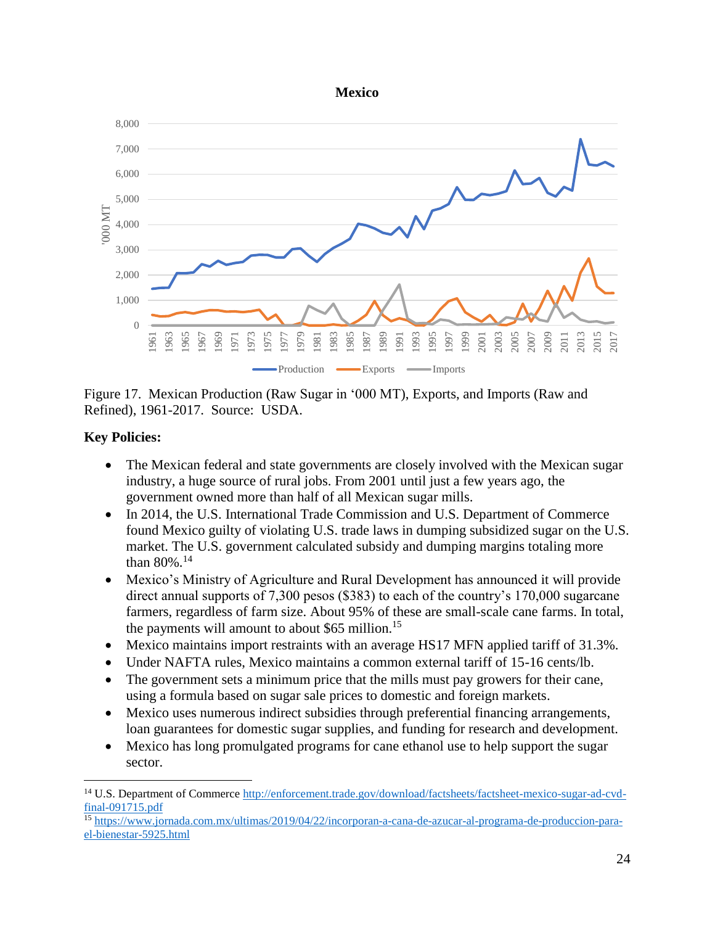



Figure 17. Mexican Production (Raw Sugar in '000 MT), Exports, and Imports (Raw and Refined), 1961-2017. Source: USDA.

# **Key Policies:**

- The Mexican federal and state governments are closely involved with the Mexican sugar industry, a huge source of rural jobs. From 2001 until just a few years ago, the government owned more than half of all Mexican sugar mills.
- In 2014, the U.S. International Trade Commission and U.S. Department of Commerce found Mexico guilty of violating U.S. trade laws in dumping subsidized sugar on the U.S. market. The U.S. government calculated subsidy and dumping margins totaling more than 80%.<sup>14</sup>
- Mexico's Ministry of Agriculture and Rural Development has announced it will provide direct annual supports of 7,300 pesos (\$383) to each of the country's 170,000 sugarcane farmers, regardless of farm size. About 95% of these are small-scale cane farms. In total, the payments will amount to about \$65 million.<sup>15</sup>
- Mexico maintains import restraints with an average HS17 MFN applied tariff of 31.3%.
- Under NAFTA rules, Mexico maintains a common external tariff of 15-16 cents/lb.
- The government sets a minimum price that the mills must pay growers for their cane, using a formula based on sugar sale prices to domestic and foreign markets.
- Mexico uses numerous indirect subsidies through preferential financing arrangements, loan guarantees for domestic sugar supplies, and funding for research and development.
- Mexico has long promulgated programs for cane ethanol use to help support the sugar sector.

<sup>&</sup>lt;sup>14</sup> U.S. Department of Commerce [http://enforcement.trade.gov/download/factsheets/factsheet-mexico-sugar-ad-cvd](http://enforcement.trade.gov/download/factsheets/factsheet-mexico-sugar-ad-cvd-final-091715.pdf)[final-091715.pdf](http://enforcement.trade.gov/download/factsheets/factsheet-mexico-sugar-ad-cvd-final-091715.pdf)

<sup>15</sup> [https://www.jornada.com.mx/ultimas/2019/04/22/incorporan-a-cana-de-azucar-al-programa-de-produccion-para](https://www.jornada.com.mx/ultimas/2019/04/22/incorporan-a-cana-de-azucar-al-programa-de-produccion-para-el-bienestar-5925.html)[el-bienestar-5925.html](https://www.jornada.com.mx/ultimas/2019/04/22/incorporan-a-cana-de-azucar-al-programa-de-produccion-para-el-bienestar-5925.html)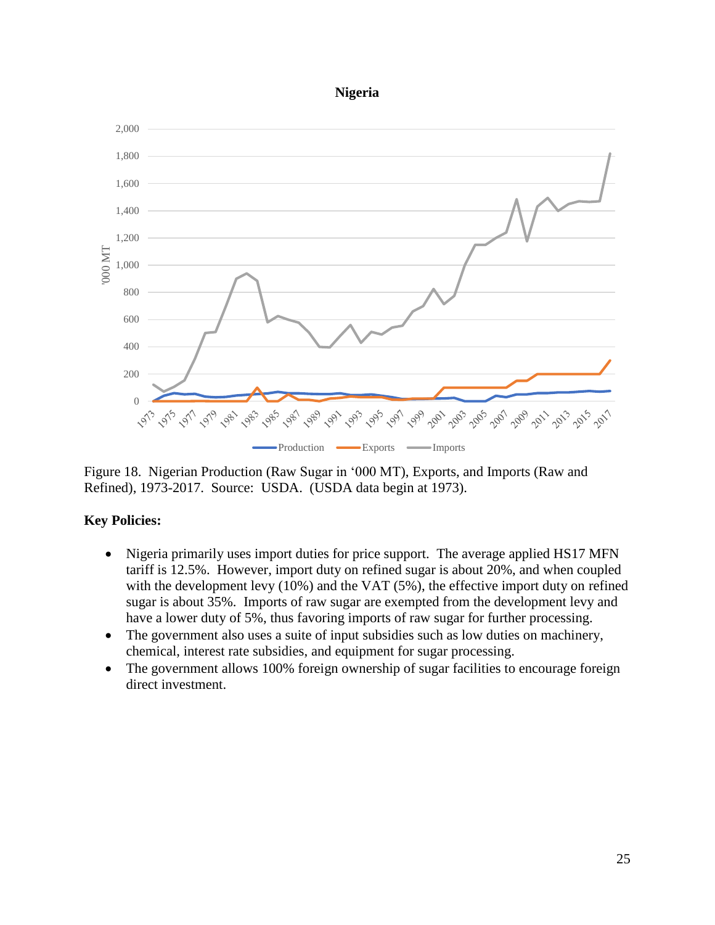#### **Nigeria**



Figure 18. Nigerian Production (Raw Sugar in '000 MT), Exports, and Imports (Raw and Refined), 1973-2017. Source: USDA. (USDA data begin at 1973).

- Nigeria primarily uses import duties for price support. The average applied HS17 MFN tariff is 12.5%. However, import duty on refined sugar is about 20%, and when coupled with the development levy  $(10\%)$  and the VAT  $(5\%)$ , the effective import duty on refined sugar is about 35%. Imports of raw sugar are exempted from the development levy and have a lower duty of 5%, thus favoring imports of raw sugar for further processing.
- The government also uses a suite of input subsidies such as low duties on machinery, chemical, interest rate subsidies, and equipment for sugar processing.
- The government allows 100% foreign ownership of sugar facilities to encourage foreign direct investment.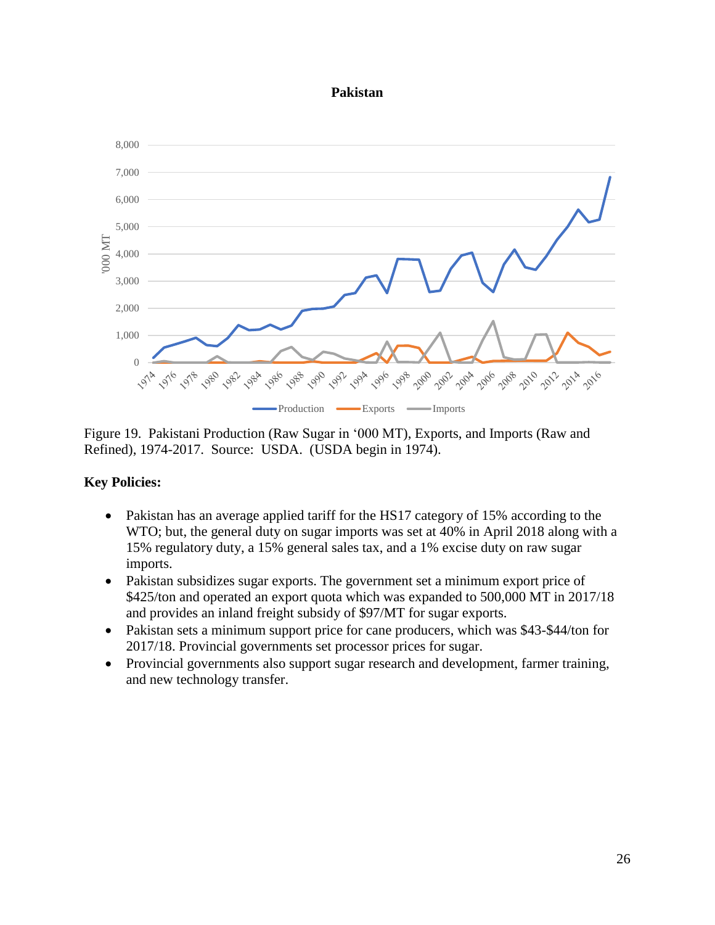#### **Pakistan**



Figure 19. Pakistani Production (Raw Sugar in '000 MT), Exports, and Imports (Raw and Refined), 1974-2017. Source: USDA. (USDA begin in 1974).

- Pakistan has an average applied tariff for the HS17 category of 15% according to the WTO; but, the general duty on sugar imports was set at 40% in April 2018 along with a 15% regulatory duty, a 15% general sales tax, and a 1% excise duty on raw sugar imports.
- Pakistan subsidizes sugar exports. The government set a minimum export price of \$425/ton and operated an export quota which was expanded to 500,000 MT in 2017/18 and provides an inland freight subsidy of \$97/MT for sugar exports.
- Pakistan sets a minimum support price for cane producers, which was \$43-\$44/ton for 2017/18. Provincial governments set processor prices for sugar.
- Provincial governments also support sugar research and development, farmer training, and new technology transfer.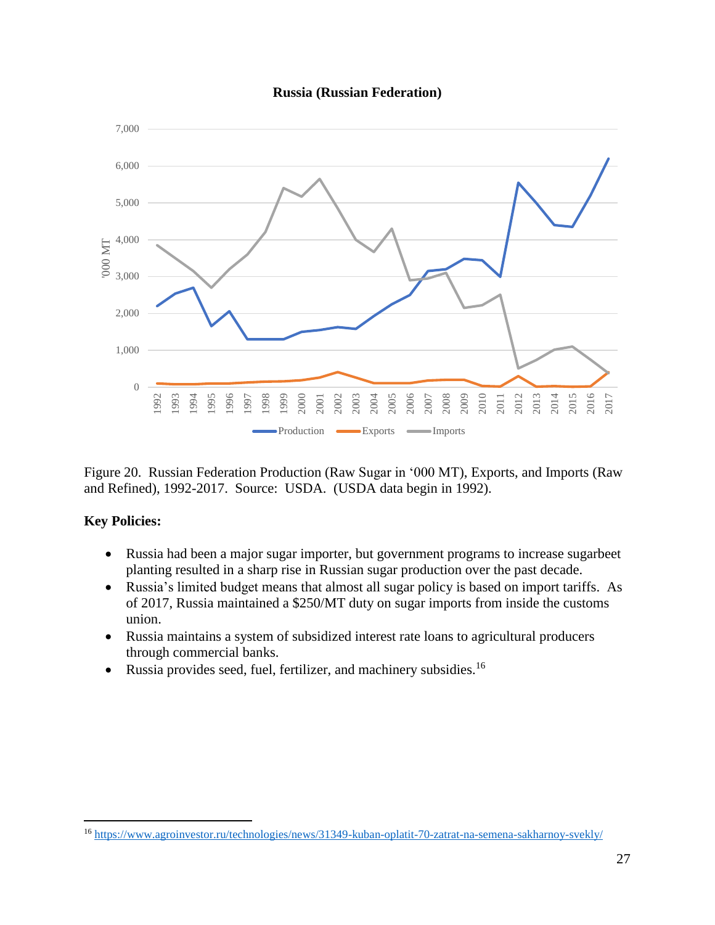#### **Russia (Russian Federation)**



Figure 20. Russian Federation Production (Raw Sugar in '000 MT), Exports, and Imports (Raw and Refined), 1992-2017. Source: USDA. (USDA data begin in 1992).

### **Key Policies:**

- Russia had been a major sugar importer, but government programs to increase sugarbeet planting resulted in a sharp rise in Russian sugar production over the past decade.
- Russia's limited budget means that almost all sugar policy is based on import tariffs. As of 2017, Russia maintained a \$250/MT duty on sugar imports from inside the customs union.
- Russia maintains a system of subsidized interest rate loans to agricultural producers through commercial banks.
- Russia provides seed, fuel, fertilizer, and machinery subsidies.<sup>16</sup>

<sup>16</sup> <https://www.agroinvestor.ru/technologies/news/31349-kuban-oplatit-70-zatrat-na-semena-sakharnoy-svekly/>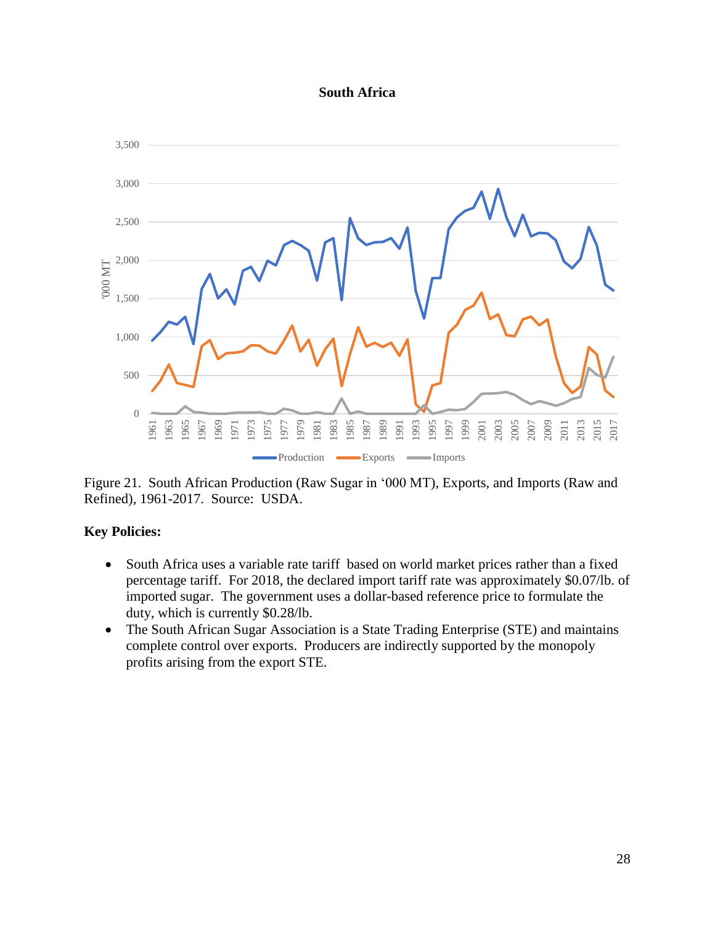#### **South Africa**



Figure 21. South African Production (Raw Sugar in '000 MT), Exports, and Imports (Raw and Refined), 1961-2017. Source: USDA.

- South Africa uses a variable rate tariff based on world market prices rather than a fixed percentage tariff. For 2018, the declared import tariff rate was approximately \$0.07/lb. of imported sugar. The government uses a dollar-based reference price to formulate the duty, which is currently \$0.28/lb.
- The South African Sugar Association is a State Trading Enterprise (STE) and maintains complete control over exports. Producers are indirectly supported by the monopoly profits arising from the export STE.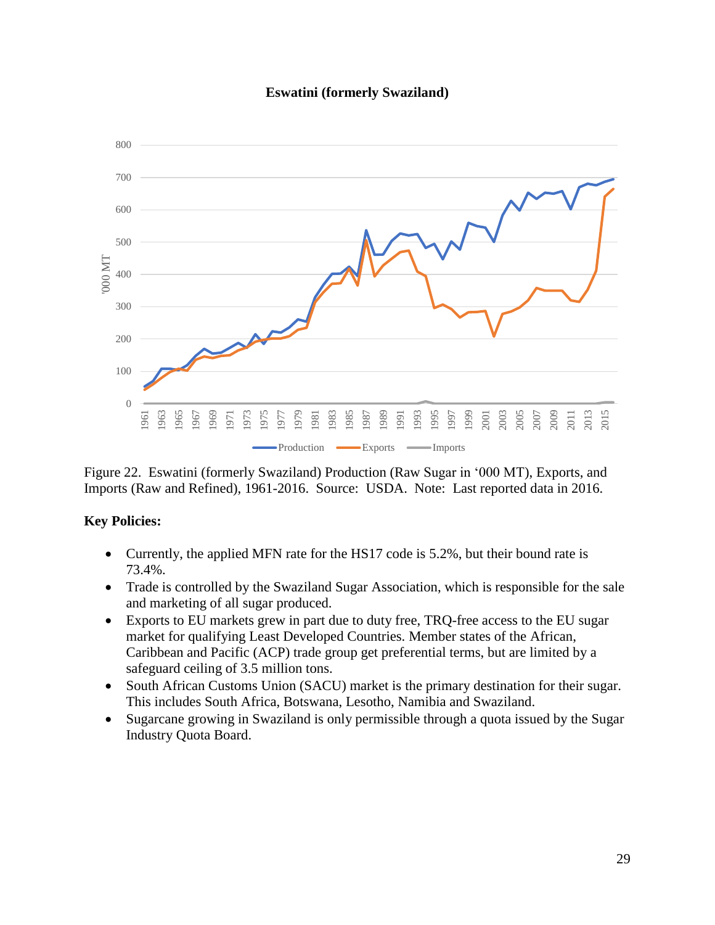#### **Eswatini (formerly Swaziland)**



Figure 22. Eswatini (formerly Swaziland) Production (Raw Sugar in '000 MT), Exports, and Imports (Raw and Refined), 1961-2016. Source: USDA. Note: Last reported data in 2016.

- Currently, the applied MFN rate for the HS17 code is 5.2%, but their bound rate is 73.4%.
- Trade is controlled by the Swaziland Sugar Association, which is responsible for the sale and marketing of all sugar produced.
- Exports to EU markets grew in part due to duty free, TRQ-free access to the EU sugar market for qualifying Least Developed Countries. Member states of the African, Caribbean and Pacific (ACP) trade group get preferential terms, but are limited by a safeguard ceiling of 3.5 million tons.
- South African Customs Union (SACU) market is the primary destination for their sugar. This includes South Africa, Botswana, Lesotho, Namibia and Swaziland.
- Sugarcane growing in Swaziland is only permissible through a quota issued by the Sugar Industry Quota Board.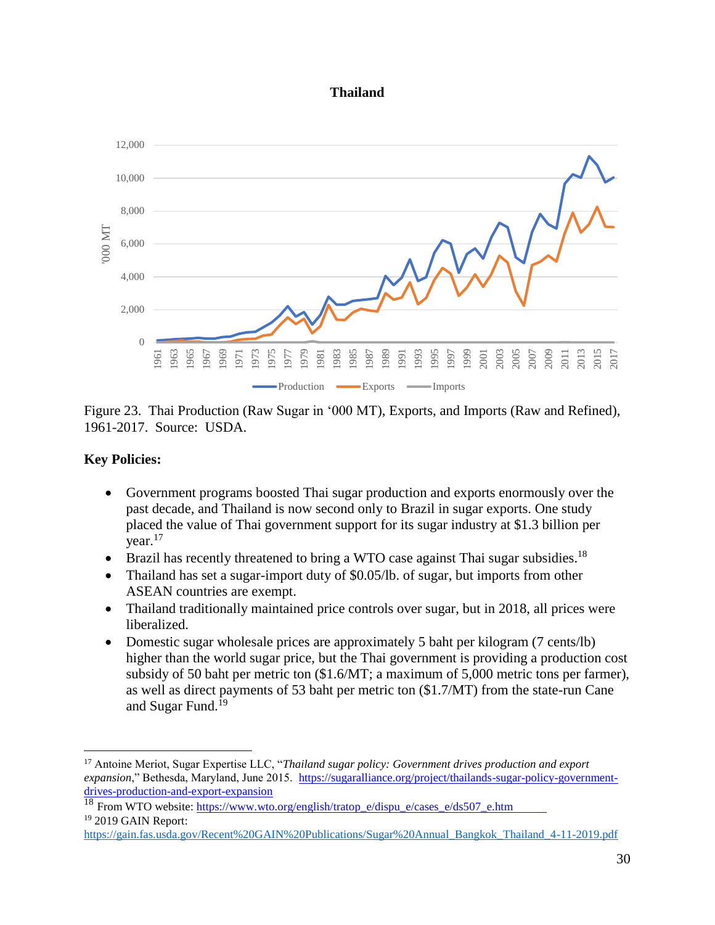#### **Thailand**



Figure 23. Thai Production (Raw Sugar in '000 MT), Exports, and Imports (Raw and Refined), 1961-2017. Source: USDA.

# **Key Policies:**

- Government programs boosted Thai sugar production and exports enormously over the past decade, and Thailand is now second only to Brazil in sugar exports. One study placed the value of Thai government support for its sugar industry at \$1.3 billion per vear. $17$
- $\bullet$  Brazil has recently threatened to bring a WTO case against Thai sugar subsidies.<sup>18</sup>
- Thailand has set a sugar-import duty of \$0.05/lb. of sugar, but imports from other ASEAN countries are exempt.
- Thailand traditionally maintained price controls over sugar, but in 2018, all prices were liberalized.
- Domestic sugar wholesale prices are approximately 5 baht per kilogram (7 cents/lb) higher than the world sugar price, but the Thai government is providing a production cost subsidy of 50 baht per metric ton (\$1.6/MT; a maximum of 5,000 metric tons per farmer), as well as direct payments of 53 baht per metric ton (\$1.7/MT) from the state-run Cane and Sugar Fund.<sup>19</sup>

```
 https://www.wto.org/english/tratop_e/dispu_e/cases_e/ds507_e.htm
19 2019 GAIN Report:
```

```
https://gain.fas.usda.gov/Recent%20GAIN%20Publications/Sugar%20Annual_Bangkok_Thailand_4-11-2019.pdf
```
<sup>17</sup> Antoine Meriot, Sugar Expertise LLC, "*Thailand sugar policy: Government drives production and export expansion*," Bethesda, Maryland, June 2015. [https://sugaralliance.org/project/thailands-sugar-policy-government](https://sugaralliance.org/project/thailands-sugar-policy-government-drives-production-and-export-expansion)[drives-production-and-export-expansion](https://sugaralliance.org/project/thailands-sugar-policy-government-drives-production-and-export-expansion)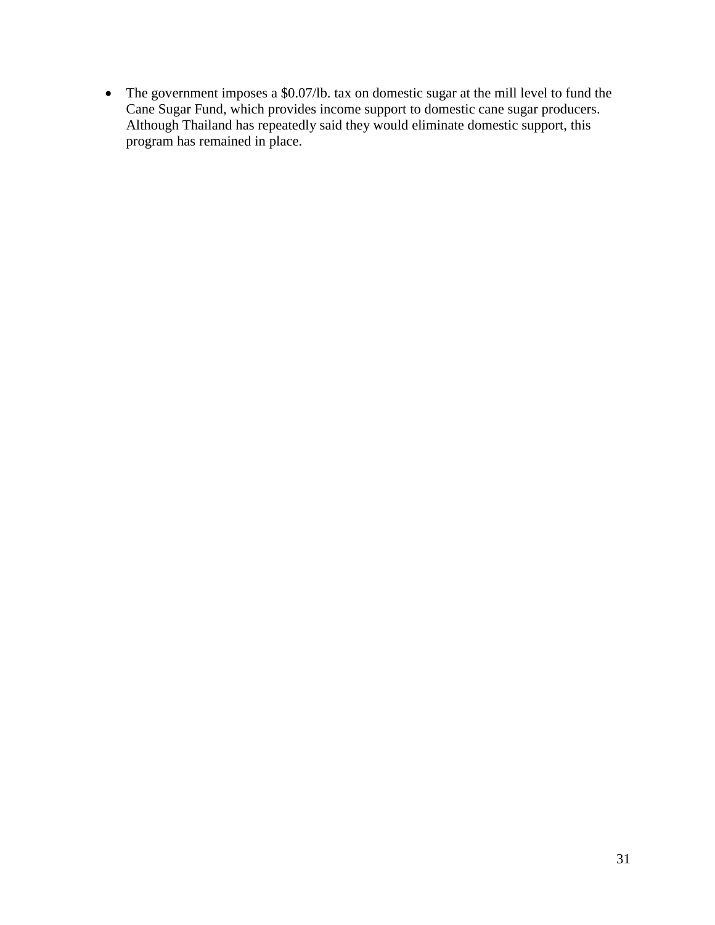• The government imposes a \$0.07/lb. tax on domestic sugar at the mill level to fund the Cane Sugar Fund, which provides income support to domestic cane sugar producers. Although Thailand has repeatedly said they would eliminate domestic support, this program has remained in place.